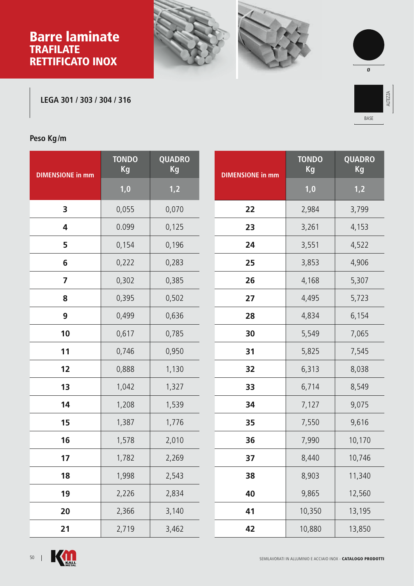## Barre laminate **TRAFILATE** RETTIFICATO INOX







**LEGA 301 / 303 / 304 / 316**



## **Peso Kg/m**

| <b>DIMENSIONE in mm</b> | <b>TONDO</b><br>Kg | <b>QUADRO</b><br>Kg |  |
|-------------------------|--------------------|---------------------|--|
|                         | 1,0                | 1,2                 |  |
| 3                       | 0,055              | 0,070               |  |
| 4                       | 0.099              | 0,125               |  |
| 5                       | 0,154              | 0,196               |  |
| 6                       | 0,222              | 0,283               |  |
| 7                       | 0,302              | 0,385               |  |
| 8                       | 0,395              | 0,502               |  |
| 9                       | 0,499              | 0,636               |  |
| 10                      | 0,617              | 0,785               |  |
| 11                      | 0,746              | 0,950               |  |
| 12                      | 0,888              | 1,130               |  |
| 13                      | 1,042              | 1,327               |  |
| 14                      | 1,208              | 1,539               |  |
| 15                      | 1,387              | 1,776               |  |
| 16                      | 1,578              | 2,010               |  |
| 17                      | 1,782              | 2,269               |  |
| 18                      | 1,998              | 2,543               |  |
| 19                      | 2,226              | 2,834               |  |
| 20                      | 2,366              | 3,140               |  |
| 21                      | 2,719              | 3,462               |  |

| <b>DIMENSIONE in mm</b> | <b>TONDO</b><br>Kg | <b>QUADRO</b><br>Kg |
|-------------------------|--------------------|---------------------|
|                         | 1,0                | 1,2                 |
| 22                      | 2,984              | 3,799               |
| 23                      | 3,261              | 4,153               |
| 24                      | 3,551              | 4,522               |
| 25                      | 3,853              | 4,906               |
| 26                      | 4,168              | 5,307               |
| 27                      | 4,495              | 5,723               |
| 28                      | 4,834              | 6,154               |
| 30                      | 5,549              | 7,065               |
| 31                      | 5,825              | 7,545               |
| 32                      | 6,313              | 8,038               |
| 33                      | 6,714              | 8,549               |
| 34                      | 7,127              | 9,075               |
| 35                      | 7,550              | 9,616               |
| 36                      | 7,990              | 10,170              |
| 37                      | 8,440              | 10,746              |
| 38                      | 8,903              | 11,340              |
| 40                      | 9,865              | 12,560              |
| 41                      | 10,350             | 13,195              |
| 42                      | 10,880             | 13,850              |